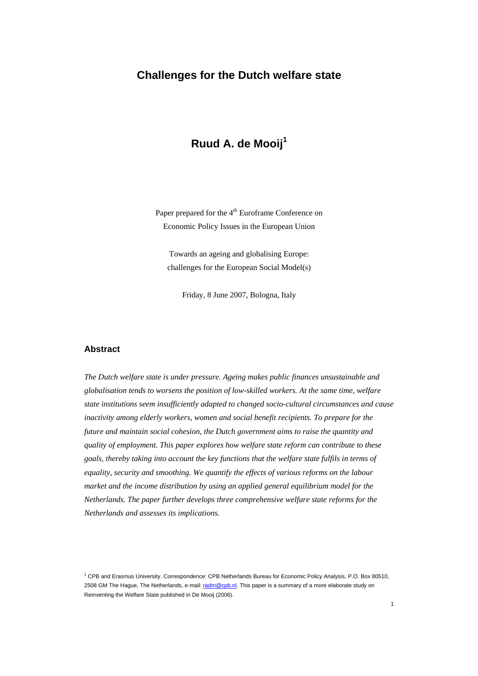# **Challenges for the Dutch welfare state**

# **Ruud A. de Mooij<sup>1</sup>**

Paper prepared for the 4<sup>th</sup> Euroframe Conference on Economic Policy Issues in the European Union

Towards an ageing and globalising Europe: challenges for the European Social Model(s)

Friday, 8 June 2007, Bologna, Italy

### **Abstract**

*The Dutch welfare state is under pressure. Ageing makes public finances unsustainable and globalisation tends to worsens the position of low-skilled workers. At the same time, welfare state institutions seem insufficiently adapted to changed socio-cultural circumstances and cause inactivity among elderly workers, women and social benefit recipients. To prepare for the future and maintain social cohesion, the Dutch government aims to raise the quantity and quality of employment. This paper explores how welfare state reform can contribute to these goals, thereby taking into account the key functions that the welfare state fulfils in terms of equality, security and smoothing. We quantify the effects of various reforms on the labour market and the income distribution by using an applied general equilibrium model for the Netherlands. The paper further develops three comprehensive welfare state reforms for the Netherlands and assesses its implications.* 

<sup>1</sup> CPB and Erasmus University. Correspondence: CPB Netherlands Bureau for Economic Policy Analysis, P.O. Box 80510, 2508 GM The Hague, The Netherlands, e-mail: radm@cpb.nl. This paper is a summary of a more elaborate study on Reinventing the Welfare State published in De Mooij (2006).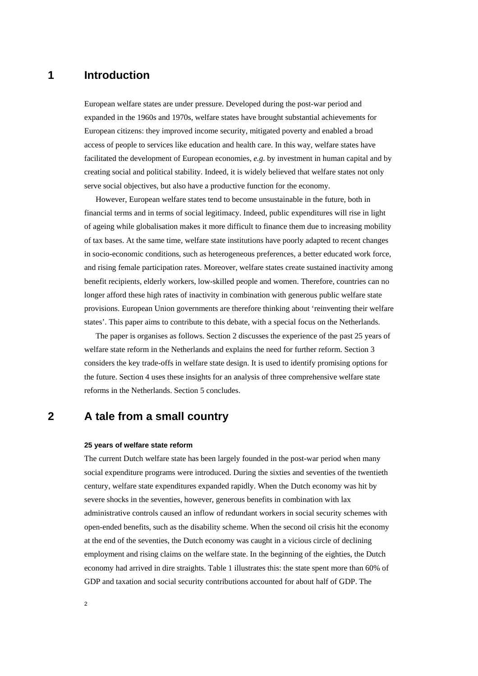## **1 Introduction**

European welfare states are under pressure. Developed during the post-war period and expanded in the 1960s and 1970s, welfare states have brought substantial achievements for European citizens: they improved income security, mitigated poverty and enabled a broad access of people to services like education and health care. In this way, welfare states have facilitated the development of European economies, *e.g.* by investment in human capital and by creating social and political stability. Indeed, it is widely believed that welfare states not only serve social objectives, but also have a productive function for the economy.

However, European welfare states tend to become unsustainable in the future, both in financial terms and in terms of social legitimacy. Indeed, public expenditures will rise in light of ageing while globalisation makes it more difficult to finance them due to increasing mobility of tax bases. At the same time, welfare state institutions have poorly adapted to recent changes in socio-economic conditions, such as heterogeneous preferences, a better educated work force, and rising female participation rates. Moreover, welfare states create sustained inactivity among benefit recipients, elderly workers, low-skilled people and women. Therefore, countries can no longer afford these high rates of inactivity in combination with generous public welfare state provisions. European Union governments are therefore thinking about 'reinventing their welfare states'. This paper aims to contribute to this debate, with a special focus on the Netherlands.

The paper is organises as follows. Section 2 discusses the experience of the past 25 years of welfare state reform in the Netherlands and explains the need for further reform. Section 3 considers the key trade-offs in welfare state design. It is used to identify promising options for the future. Section 4 uses these insights for an analysis of three comprehensive welfare state reforms in the Netherlands. Section 5 concludes.

## **2 A tale from a small country**

#### **25 years of welfare state reform**

The current Dutch welfare state has been largely founded in the post-war period when many social expenditure programs were introduced. During the sixties and seventies of the twentieth century, welfare state expenditures expanded rapidly. When the Dutch economy was hit by severe shocks in the seventies, however, generous benefits in combination with lax administrative controls caused an inflow of redundant workers in social security schemes with open-ended benefits, such as the disability scheme. When the second oil crisis hit the economy at the end of the seventies, the Dutch economy was caught in a vicious circle of declining employment and rising claims on the welfare state. In the beginning of the eighties, the Dutch economy had arrived in dire straights. Table 1 illustrates this: the state spent more than 60% of GDP and taxation and social security contributions accounted for about half of GDP. The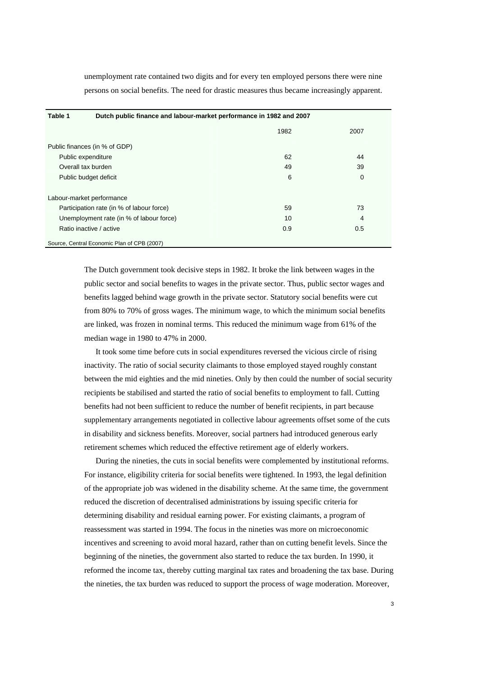unemployment rate contained two digits and for every ten employed persons there were nine persons on social benefits. The need for drastic measures thus became increasingly apparent.

| Table 1                                     |  | Dutch public finance and labour-market performance in 1982 and 2007 |      |  |
|---------------------------------------------|--|---------------------------------------------------------------------|------|--|
|                                             |  | 1982                                                                | 2007 |  |
| Public finances (in % of GDP)               |  |                                                                     |      |  |
| Public expenditure                          |  | 62                                                                  | 44   |  |
| Overall tax burden                          |  | 49                                                                  | 39   |  |
| Public budget deficit                       |  | 6                                                                   | 0    |  |
| Labour-market performance                   |  |                                                                     |      |  |
| Participation rate (in % of labour force)   |  | 59                                                                  | 73   |  |
| Unemployment rate (in % of labour force)    |  | 10                                                                  | 4    |  |
| Ratio inactive / active                     |  | 0.9                                                                 | 0.5  |  |
| Source, Central Economic Plan of CPB (2007) |  |                                                                     |      |  |

The Dutch government took decisive steps in 1982. It broke the link between wages in the public sector and social benefits to wages in the private sector. Thus, public sector wages and benefits lagged behind wage growth in the private sector. Statutory social benefits were cut from 80% to 70% of gross wages. The minimum wage, to which the minimum social benefits are linked, was frozen in nominal terms. This reduced the minimum wage from 61% of the median wage in 1980 to 47% in 2000.

It took some time before cuts in social expenditures reversed the vicious circle of rising inactivity. The ratio of social security claimants to those employed stayed roughly constant between the mid eighties and the mid nineties. Only by then could the number of social security recipients be stabilised and started the ratio of social benefits to employment to fall. Cutting benefits had not been sufficient to reduce the number of benefit recipients, in part because supplementary arrangements negotiated in collective labour agreements offset some of the cuts in disability and sickness benefits. Moreover, social partners had introduced generous early retirement schemes which reduced the effective retirement age of elderly workers.

During the nineties, the cuts in social benefits were complemented by institutional reforms. For instance, eligibility criteria for social benefits were tightened. In 1993, the legal definition of the appropriate job was widened in the disability scheme. At the same time, the government reduced the discretion of decentralised administrations by issuing specific criteria for determining disability and residual earning power. For existing claimants, a program of reassessment was started in 1994. The focus in the nineties was more on microeconomic incentives and screening to avoid moral hazard, rather than on cutting benefit levels. Since the beginning of the nineties, the government also started to reduce the tax burden. In 1990, it reformed the income tax, thereby cutting marginal tax rates and broadening the tax base. During the nineties, the tax burden was reduced to support the process of wage moderation. Moreover,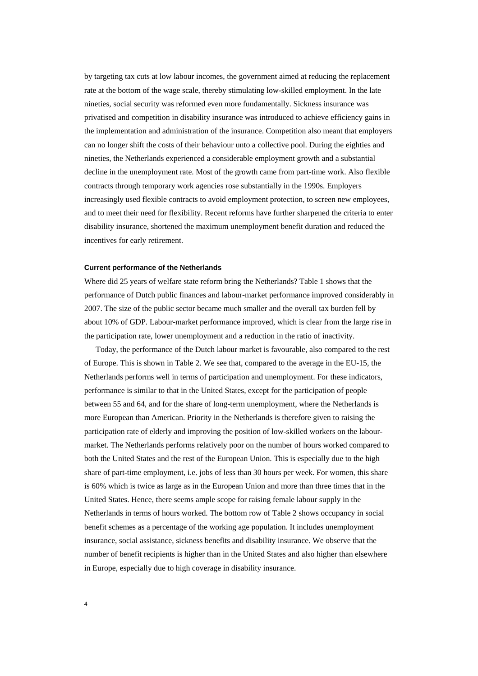by targeting tax cuts at low labour incomes, the government aimed at reducing the replacement rate at the bottom of the wage scale, thereby stimulating low-skilled employment. In the late nineties, social security was reformed even more fundamentally. Sickness insurance was privatised and competition in disability insurance was introduced to achieve efficiency gains in the implementation and administration of the insurance. Competition also meant that employers can no longer shift the costs of their behaviour unto a collective pool. During the eighties and nineties, the Netherlands experienced a considerable employment growth and a substantial decline in the unemployment rate. Most of the growth came from part-time work. Also flexible contracts through temporary work agencies rose substantially in the 1990s. Employers increasingly used flexible contracts to avoid employment protection, to screen new employees, and to meet their need for flexibility. Recent reforms have further sharpened the criteria to enter disability insurance, shortened the maximum unemployment benefit duration and reduced the incentives for early retirement.

#### **Current performance of the Netherlands**

Where did 25 years of welfare state reform bring the Netherlands? Table 1 shows that the performance of Dutch public finances and labour-market performance improved considerably in 2007. The size of the public sector became much smaller and the overall tax burden fell by about 10% of GDP. Labour-market performance improved, which is clear from the large rise in the participation rate, lower unemployment and a reduction in the ratio of inactivity.

Today, the performance of the Dutch labour market is favourable, also compared to the rest of Europe. This is shown in Table 2. We see that, compared to the average in the EU-15, the Netherlands performs well in terms of participation and unemployment. For these indicators, performance is similar to that in the United States, except for the participation of people between 55 and 64, and for the share of long-term unemployment, where the Netherlands is more European than American. Priority in the Netherlands is therefore given to raising the participation rate of elderly and improving the position of low-skilled workers on the labourmarket. The Netherlands performs relatively poor on the number of hours worked compared to both the United States and the rest of the European Union. This is especially due to the high share of part-time employment, i.e. jobs of less than 30 hours per week. For women, this share is 60% which is twice as large as in the European Union and more than three times that in the United States. Hence, there seems ample scope for raising female labour supply in the Netherlands in terms of hours worked. The bottom row of Table 2 shows occupancy in social benefit schemes as a percentage of the working age population. It includes unemployment insurance, social assistance, sickness benefits and disability insurance. We observe that the number of benefit recipients is higher than in the United States and also higher than elsewhere in Europe, especially due to high coverage in disability insurance.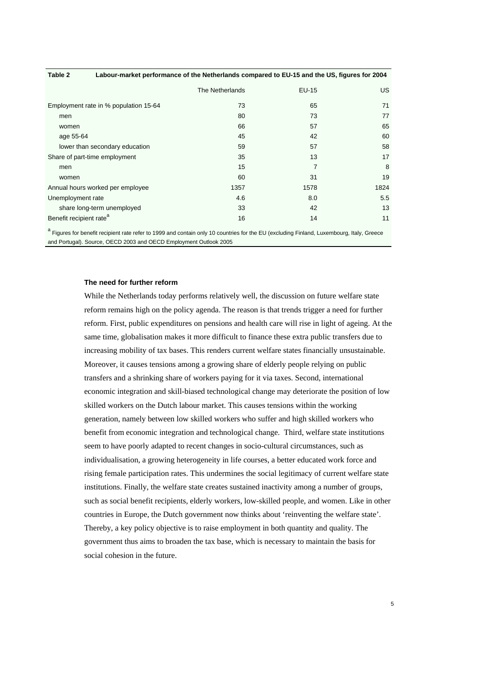| Table 2                                                                                                                        | Labour-market performance of the Netherlands compared to EU-15 and the US, figures for 2004 |                 |                |      |  |
|--------------------------------------------------------------------------------------------------------------------------------|---------------------------------------------------------------------------------------------|-----------------|----------------|------|--|
|                                                                                                                                |                                                                                             | The Netherlands | EU-15          | US.  |  |
| Employment rate in % population 15-64                                                                                          |                                                                                             | 73              | 65             | 71   |  |
| men                                                                                                                            |                                                                                             | 80              | 73             | 77   |  |
| women                                                                                                                          |                                                                                             | 66              | 57             | 65   |  |
| age 55-64                                                                                                                      |                                                                                             | 45              | 42             | 60   |  |
| lower than secondary education                                                                                                 |                                                                                             | 59              | 57             | 58   |  |
| Share of part-time employment                                                                                                  |                                                                                             | 35              | 13             | 17   |  |
| men                                                                                                                            |                                                                                             | 15              | $\overline{7}$ | 8    |  |
| women                                                                                                                          |                                                                                             | 60              | 31             | 19   |  |
| Annual hours worked per employee                                                                                               |                                                                                             | 1357            | 1578           | 1824 |  |
| Unemployment rate                                                                                                              |                                                                                             | 4.6             | 8.0            | 5.5  |  |
| share long-term unemployed                                                                                                     |                                                                                             | 33              | 42             | 13   |  |
| Benefit recipient rate <sup>a</sup>                                                                                            |                                                                                             | 16              | 14             | 11   |  |
| a classes to be active the test of our 1000 and centric solut 0 counties to the FU (curbuller Fieldard Lucenterum Hely, Occass |                                                                                             |                 |                |      |  |

 Figures for benefit recipient rate refer to 1999 and contain only 10 countries for the EU (excluding Finland, Luxembourg, Italy, Greece and Portugal). Source, OECD 2003 and OECD Employment Outlook 2005

### **The need for further reform**

While the Netherlands today performs relatively well, the discussion on future welfare state reform remains high on the policy agenda. The reason is that trends trigger a need for further reform. First, public expenditures on pensions and health care will rise in light of ageing. At the same time, globalisation makes it more difficult to finance these extra public transfers due to increasing mobility of tax bases. This renders current welfare states financially unsustainable. Moreover, it causes tensions among a growing share of elderly people relying on public transfers and a shrinking share of workers paying for it via taxes. Second, international economic integration and skill-biased technological change may deteriorate the position of low skilled workers on the Dutch labour market. This causes tensions within the working generation, namely between low skilled workers who suffer and high skilled workers who benefit from economic integration and technological change. Third, welfare state institutions seem to have poorly adapted to recent changes in socio-cultural circumstances, such as individualisation, a growing heterogeneity in life courses, a better educated work force and rising female participation rates. This undermines the social legitimacy of current welfare state institutions. Finally, the welfare state creates sustained inactivity among a number of groups, such as social benefit recipients, elderly workers, low-skilled people, and women. Like in other countries in Europe, the Dutch government now thinks about 'reinventing the welfare state'. Thereby, a key policy objective is to raise employment in both quantity and quality. The government thus aims to broaden the tax base, which is necessary to maintain the basis for social cohesion in the future.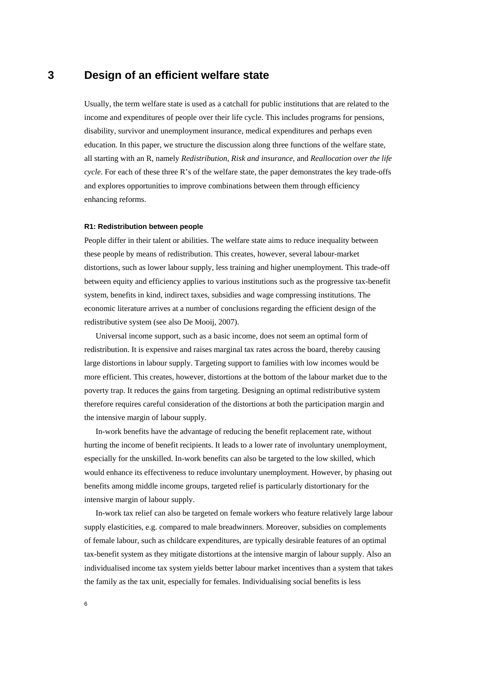## **3 Design of an efficient welfare state**

Usually, the term welfare state is used as a catchall for public institutions that are related to the income and expenditures of people over their life cycle. This includes programs for pensions, disability, survivor and unemployment insurance, medical expenditures and perhaps even education. In this paper, we structure the discussion along three functions of the welfare state, all starting with an R, namely *Redistribution*, *Risk and insurance*, and *Reallocation over the life cycle*. For each of these three R's of the welfare state, the paper demonstrates the key trade-offs and explores opportunities to improve combinations between them through efficiency enhancing reforms.

#### **R1: Redistribution between people**

People differ in their talent or abilities. The welfare state aims to reduce inequality between these people by means of redistribution. This creates, however, several labour-market distortions, such as lower labour supply, less training and higher unemployment. This trade-off between equity and efficiency applies to various institutions such as the progressive tax-benefit system, benefits in kind, indirect taxes, subsidies and wage compressing institutions. The economic literature arrives at a number of conclusions regarding the efficient design of the redistributive system (see also De Mooij, 2007).

Universal income support, such as a basic income, does not seem an optimal form of redistribution. It is expensive and raises marginal tax rates across the board, thereby causing large distortions in labour supply. Targeting support to families with low incomes would be more efficient. This creates, however, distortions at the bottom of the labour market due to the poverty trap. It reduces the gains from targeting. Designing an optimal redistributive system therefore requires careful consideration of the distortions at both the participation margin and the intensive margin of labour supply.

In-work benefits have the advantage of reducing the benefit replacement rate, without hurting the income of benefit recipients. It leads to a lower rate of involuntary unemployment, especially for the unskilled. In-work benefits can also be targeted to the low skilled, which would enhance its effectiveness to reduce involuntary unemployment. However, by phasing out benefits among middle income groups, targeted relief is particularly distortionary for the intensive margin of labour supply.

In-work tax relief can also be targeted on female workers who feature relatively large labour supply elasticities, e.g. compared to male breadwinners. Moreover, subsidies on complements of female labour, such as childcare expenditures, are typically desirable features of an optimal tax-benefit system as they mitigate distortions at the intensive margin of labour supply. Also an individualised income tax system yields better labour market incentives than a system that takes the family as the tax unit, especially for females. Individualising social benefits is less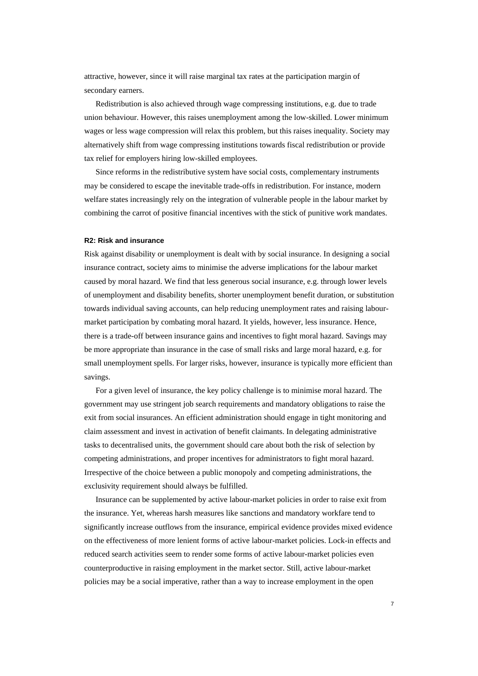attractive, however, since it will raise marginal tax rates at the participation margin of secondary earners.

Redistribution is also achieved through wage compressing institutions, e.g. due to trade union behaviour. However, this raises unemployment among the low-skilled. Lower minimum wages or less wage compression will relax this problem, but this raises inequality. Society may alternatively shift from wage compressing institutions towards fiscal redistribution or provide tax relief for employers hiring low-skilled employees.

Since reforms in the redistributive system have social costs, complementary instruments may be considered to escape the inevitable trade-offs in redistribution. For instance, modern welfare states increasingly rely on the integration of vulnerable people in the labour market by combining the carrot of positive financial incentives with the stick of punitive work mandates.

### **R2: Risk and insurance**

Risk against disability or unemployment is dealt with by social insurance. In designing a social insurance contract, society aims to minimise the adverse implications for the labour market caused by moral hazard. We find that less generous social insurance, e.g. through lower levels of unemployment and disability benefits, shorter unemployment benefit duration, or substitution towards individual saving accounts, can help reducing unemployment rates and raising labourmarket participation by combating moral hazard. It yields, however, less insurance. Hence, there is a trade-off between insurance gains and incentives to fight moral hazard. Savings may be more appropriate than insurance in the case of small risks and large moral hazard, e.g. for small unemployment spells. For larger risks, however, insurance is typically more efficient than savings.

For a given level of insurance, the key policy challenge is to minimise moral hazard. The government may use stringent job search requirements and mandatory obligations to raise the exit from social insurances. An efficient administration should engage in tight monitoring and claim assessment and invest in activation of benefit claimants. In delegating administrative tasks to decentralised units, the government should care about both the risk of selection by competing administrations, and proper incentives for administrators to fight moral hazard. Irrespective of the choice between a public monopoly and competing administrations, the exclusivity requirement should always be fulfilled.

Insurance can be supplemented by active labour-market policies in order to raise exit from the insurance. Yet, whereas harsh measures like sanctions and mandatory workfare tend to significantly increase outflows from the insurance, empirical evidence provides mixed evidence on the effectiveness of more lenient forms of active labour-market policies. Lock-in effects and reduced search activities seem to render some forms of active labour-market policies even counterproductive in raising employment in the market sector. Still, active labour-market policies may be a social imperative, rather than a way to increase employment in the open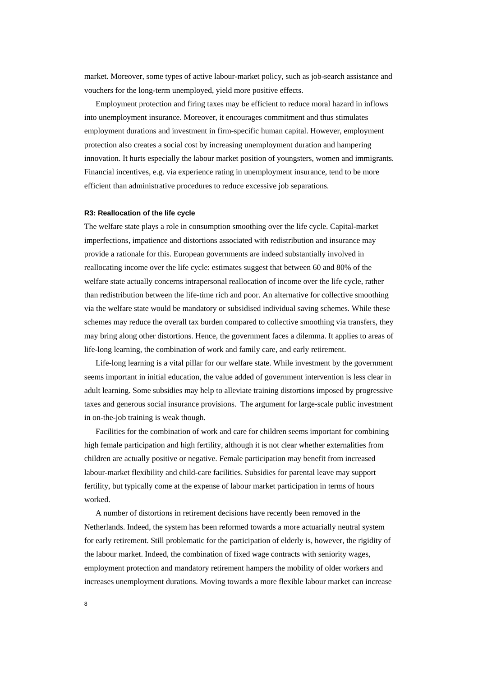market. Moreover, some types of active labour-market policy, such as job-search assistance and vouchers for the long-term unemployed, yield more positive effects.

Employment protection and firing taxes may be efficient to reduce moral hazard in inflows into unemployment insurance. Moreover, it encourages commitment and thus stimulates employment durations and investment in firm-specific human capital. However, employment protection also creates a social cost by increasing unemployment duration and hampering innovation. It hurts especially the labour market position of youngsters, women and immigrants. Financial incentives, e.g. via experience rating in unemployment insurance, tend to be more efficient than administrative procedures to reduce excessive job separations.

#### **R3: Reallocation of the life cycle**

The welfare state plays a role in consumption smoothing over the life cycle. Capital-market imperfections, impatience and distortions associated with redistribution and insurance may provide a rationale for this. European governments are indeed substantially involved in reallocating income over the life cycle: estimates suggest that between 60 and 80% of the welfare state actually concerns intrapersonal reallocation of income over the life cycle, rather than redistribution between the life-time rich and poor. An alternative for collective smoothing via the welfare state would be mandatory or subsidised individual saving schemes. While these schemes may reduce the overall tax burden compared to collective smoothing via transfers, they may bring along other distortions. Hence, the government faces a dilemma. It applies to areas of life-long learning, the combination of work and family care, and early retirement.

Life-long learning is a vital pillar for our welfare state. While investment by the government seems important in initial education, the value added of government intervention is less clear in adult learning. Some subsidies may help to alleviate training distortions imposed by progressive taxes and generous social insurance provisions. The argument for large-scale public investment in on-the-job training is weak though.

Facilities for the combination of work and care for children seems important for combining high female participation and high fertility, although it is not clear whether externalities from children are actually positive or negative. Female participation may benefit from increased labour-market flexibility and child-care facilities. Subsidies for parental leave may support fertility, but typically come at the expense of labour market participation in terms of hours worked.

A number of distortions in retirement decisions have recently been removed in the Netherlands. Indeed, the system has been reformed towards a more actuarially neutral system for early retirement. Still problematic for the participation of elderly is, however, the rigidity of the labour market. Indeed, the combination of fixed wage contracts with seniority wages, employment protection and mandatory retirement hampers the mobility of older workers and increases unemployment durations. Moving towards a more flexible labour market can increase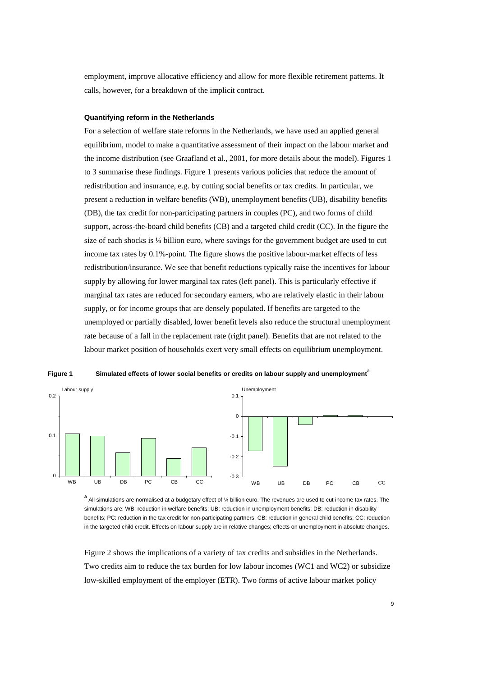employment, improve allocative efficiency and allow for more flexible retirement patterns. It calls, however, for a breakdown of the implicit contract.

### **Quantifying reform in the Netherlands**

For a selection of welfare state reforms in the Netherlands, we have used an applied general equilibrium, model to make a quantitative assessment of their impact on the labour market and the income distribution (see Graafland et al., 2001, for more details about the model). Figures 1 to 3 summarise these findings. Figure 1 presents various policies that reduce the amount of redistribution and insurance, e.g. by cutting social benefits or tax credits. In particular, we present a reduction in welfare benefits (WB), unemployment benefits (UB), disability benefits (DB), the tax credit for non-participating partners in couples (PC), and two forms of child support, across-the-board child benefits (CB) and a targeted child credit (CC). In the figure the size of each shocks is ¼ billion euro, where savings for the government budget are used to cut income tax rates by 0.1%-point. The figure shows the positive labour-market effects of less redistribution/insurance. We see that benefit reductions typically raise the incentives for labour supply by allowing for lower marginal tax rates (left panel). This is particularly effective if marginal tax rates are reduced for secondary earners, who are relatively elastic in their labour supply, or for income groups that are densely populated. If benefits are targeted to the unemployed or partially disabled, lower benefit levels also reduce the structural unemployment rate because of a fall in the replacement rate (right panel). Benefits that are not related to the labour market position of households exert very small effects on equilibrium unemployment.



Figure 1 Simulated effects of lower social benefits or credits on labour supply and unemployment<sup>a</sup>

a<br>All simulations are normalised at a budgetary effect of ¼ billion euro. The revenues are used to cut income tax rates. The simulations are: WB: reduction in welfare benefits; UB: reduction in unemployment benefits; DB: reduction in disability benefits; PC: reduction in the tax credit for non-participating partners; CB: reduction in general child benefits; CC: reduction in the targeted child credit. Effects on labour supply are in relative changes; effects on unemployment in absolute changes.

Figure 2 shows the implications of a variety of tax credits and subsidies in the Netherlands. Two credits aim to reduce the tax burden for low labour incomes (WC1 and WC2) or subsidize low-skilled employment of the employer (ETR). Two forms of active labour market policy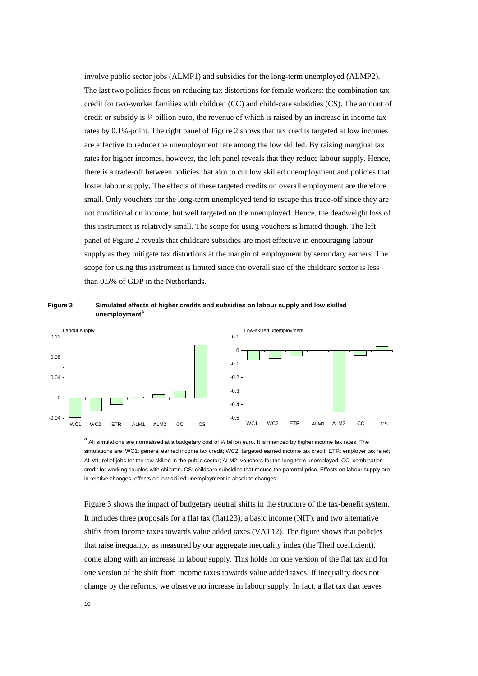involve public sector jobs (ALMP1) and subsidies for the long-term unemployed (ALMP2). The last two policies focus on reducing tax distortions for female workers: the combination tax credit for two-worker families with children (CC) and child-care subsidies (CS). The amount of credit or subsidy is ¼ billion euro, the revenue of which is raised by an increase in income tax rates by 0.1%-point. The right panel of Figure 2 shows that tax credits targeted at low incomes are effective to reduce the unemployment rate among the low skilled. By raising marginal tax rates for higher incomes, however, the left panel reveals that they reduce labour supply. Hence, there is a trade-off between policies that aim to cut low skilled unemployment and policies that foster labour supply. The effects of these targeted credits on overall employment are therefore small. Only vouchers for the long-term unemployed tend to escape this trade-off since they are not conditional on income, but well targeted on the unemployed. Hence, the deadweight loss of this instrument is relatively small. The scope for using vouchers is limited though. The left panel of Figure 2 reveals that childcare subsidies are most effective in encouraging labour supply as they mitigate tax distortions at the margin of employment by secondary earners. The scope for using this instrument is limited since the overall size of the childcare sector is less than 0.5% of GDP in the Netherlands.





a<br>All simulations are normalised at a budgetary cost of ¼ billion euro. It is financed by higher income tax rates. The simulations are: WC1: general earned income tax credit; WC2: targeted earned income tax credit; ETR: employer tax relief; ALM1: relief jobs for the low skilled in the public sector; ALM2: vouchers for the long-term unemployed; CC: combination credit for working couples with children. CS: childcare subsidies that reduce the parental price. Effects on labour supply are in relative changes; effects on low-skilled unemployment in absolute changes.

Figure 3 shows the impact of budgetary neutral shifts in the structure of the tax-benefit system. It includes three proposals for a flat tax (flat123), a basic income (NIT), and two alternative shifts from income taxes towards value added taxes (VAT12). The figure shows that policies that raise inequality, as measured by our aggregate inequality index (the Theil coefficient), come along with an increase in labour supply. This holds for one version of the flat tax and for one version of the shift from income taxes towards value added taxes. If inequality does not change by the reforms, we observe no increase in labour supply. In fact, a flat tax that leaves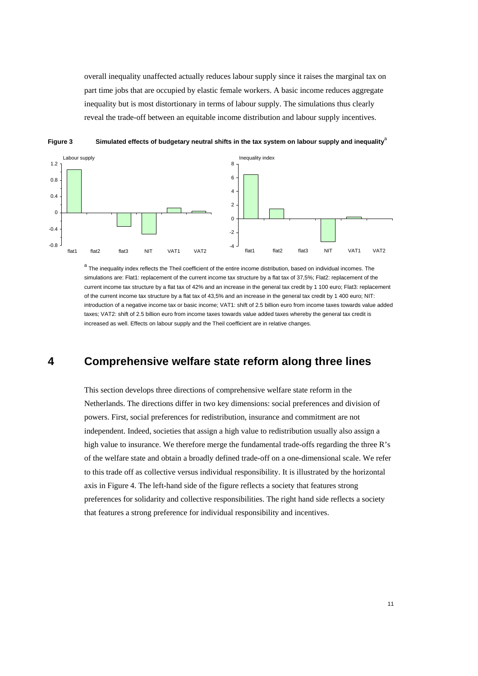overall inequality unaffected actually reduces labour supply since it raises the marginal tax on part time jobs that are occupied by elastic female workers. A basic income reduces aggregate inequality but is most distortionary in terms of labour supply. The simulations thus clearly reveal the trade-off between an equitable income distribution and labour supply incentives.



**Figure 3** Simulated effects of budgetary neutral shifts in the tax system on labour supply and inequality<sup>a</sup>

a<br>The inequality index reflects the Theil coefficient of the entire income distribution, based on individual incomes. The simulations are: Flat1: replacement of the current income tax structure by a flat tax of 37.5%; Flat2: replacement of the current income tax structure by a flat tax of 42% and an increase in the general tax credit by 1 100 euro; Flat3: replacement of the current income tax structure by a flat tax of 43,5% and an increase in the general tax credit by 1 400 euro; NIT: introduction of a negative income tax or basic income; VAT1: shift of 2.5 billion euro from income taxes towards value added taxes; VAT2: shift of 2.5 billion euro from income taxes towards value added taxes whereby the general tax credit is increased as well. Effects on labour supply and the Theil coefficient are in relative changes.

## **4 Comprehensive welfare state reform along three lines**

This section develops three directions of comprehensive welfare state reform in the Netherlands. The directions differ in two key dimensions: social preferences and division of powers. First, social preferences for redistribution, insurance and commitment are not independent. Indeed, societies that assign a high value to redistribution usually also assign a high value to insurance. We therefore merge the fundamental trade-offs regarding the three R's of the welfare state and obtain a broadly defined trade-off on a one-dimensional scale. We refer to this trade off as collective versus individual responsibility. It is illustrated by the horizontal axis in Figure 4. The left-hand side of the figure reflects a society that features strong preferences for solidarity and collective responsibilities. The right hand side reflects a society that features a strong preference for individual responsibility and incentives.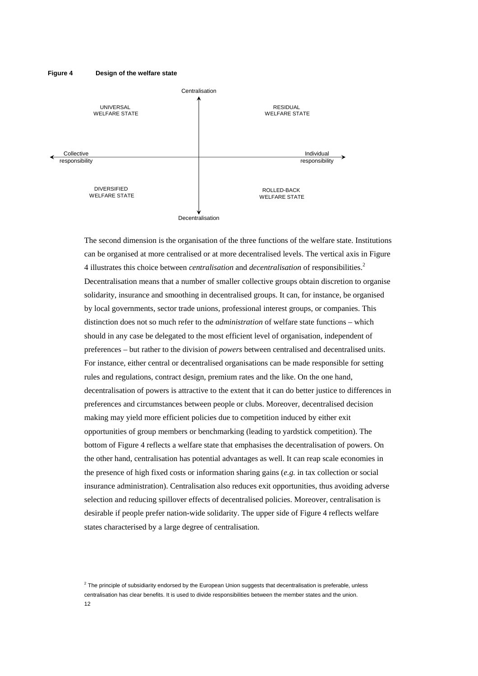#### **Figure 4 Design of the welfare state**



The second dimension is the organisation of the three functions of the welfare state. Institutions can be organised at more centralised or at more decentralised levels. The vertical axis in Figure 4 illustrates this choice between *centralisation* and *decentralisation* of responsibilities.<sup>2</sup> Decentralisation means that a number of smaller collective groups obtain discretion to organise solidarity, insurance and smoothing in decentralised groups. It can, for instance, be organised by local governments, sector trade unions, professional interest groups, or companies. This distinction does not so much refer to the *administration* of welfare state functions – which should in any case be delegated to the most efficient level of organisation, independent of preferences – but rather to the division of *powers* between centralised and decentralised units. For instance, either central or decentralised organisations can be made responsible for setting rules and regulations, contract design, premium rates and the like. On the one hand, decentralisation of powers is attractive to the extent that it can do better justice to differences in preferences and circumstances between people or clubs. Moreover, decentralised decision making may yield more efficient policies due to competition induced by either exit opportunities of group members or benchmarking (leading to yardstick competition). The bottom of Figure 4 reflects a welfare state that emphasises the decentralisation of powers. On the other hand, centralisation has potential advantages as well. It can reap scale economies in the presence of high fixed costs or information sharing gains (*e.g.* in tax collection or social insurance administration). Centralisation also reduces exit opportunities, thus avoiding adverse selection and reducing spillover effects of decentralised policies. Moreover, centralisation is desirable if people prefer nation-wide solidarity. The upper side of Figure 4 reflects welfare states characterised by a large degree of centralisation.

<sup>12</sup>   $2$  The principle of subsidiarity endorsed by the European Union suggests that decentralisation is preferable, unless centralisation has clear benefits. It is used to divide responsibilities between the member states and the union.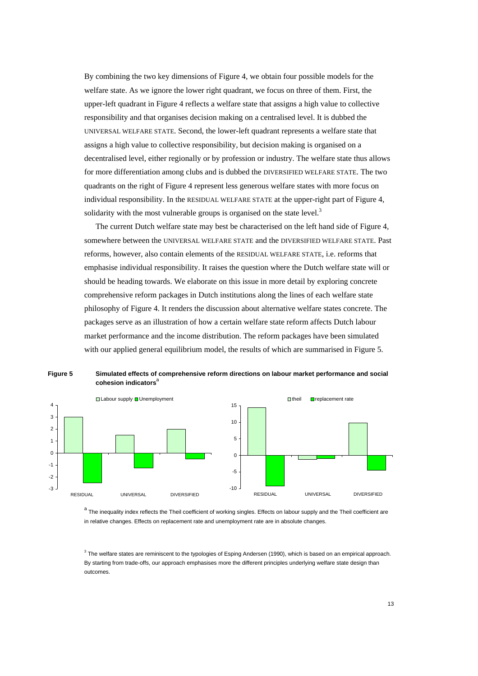By combining the two key dimensions of Figure 4, we obtain four possible models for the welfare state. As we ignore the lower right quadrant, we focus on three of them. First, the upper-left quadrant in Figure 4 reflects a welfare state that assigns a high value to collective responsibility and that organises decision making on a centralised level. It is dubbed the UNIVERSAL WELFARE STATE. Second, the lower-left quadrant represents a welfare state that assigns a high value to collective responsibility, but decision making is organised on a decentralised level, either regionally or by profession or industry. The welfare state thus allows for more differentiation among clubs and is dubbed the DIVERSIFIED WELFARE STATE. The two quadrants on the right of Figure 4 represent less generous welfare states with more focus on individual responsibility. In the RESIDUAL WELFARE STATE at the upper-right part of Figure 4, solidarity with the most vulnerable groups is organised on the state level.<sup>3</sup>

The current Dutch welfare state may best be characterised on the left hand side of Figure 4, somewhere between the UNIVERSAL WELFARE STATE and the DIVERSIFIED WELFARE STATE. Past reforms, however, also contain elements of the RESIDUAL WELFARE STATE, i.e. reforms that emphasise individual responsibility. It raises the question where the Dutch welfare state will or should be heading towards. We elaborate on this issue in more detail by exploring concrete comprehensive reform packages in Dutch institutions along the lines of each welfare state philosophy of Figure 4. It renders the discussion about alternative welfare states concrete. The packages serve as an illustration of how a certain welfare state reform affects Dutch labour market performance and the income distribution. The reform packages have been simulated with our applied general equilibrium model, the results of which are summarised in Figure 5.



**Figure 5 Simulated effects of comprehensive reform directions on labour market performance and social**  cohesion indicators<sup>a</sup>

a The inequality index reflects the Theil coefficient of working singles. Effects on labour supply and the Theil coefficient are in relative changes. Effects on replacement rate and unemployment rate are in absolute changes.

<sup>3</sup> The welfare states are reminiscent to the typologies of Esping Andersen (1990), which is based on an empirical approach. By starting from trade-offs, our approach emphasises more the different principles underlying welfare state design than outcomes.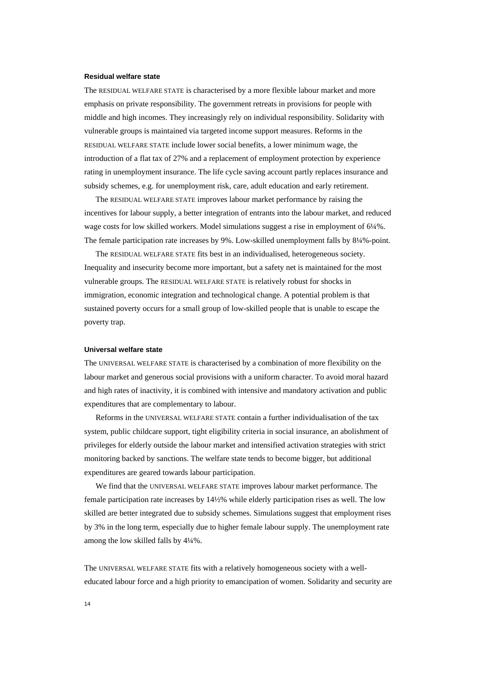### **Residual welfare state**

The RESIDUAL WELFARE STATE is characterised by a more flexible labour market and more emphasis on private responsibility. The government retreats in provisions for people with middle and high incomes. They increasingly rely on individual responsibility. Solidarity with vulnerable groups is maintained via targeted income support measures. Reforms in the RESIDUAL WELFARE STATE include lower social benefits, a lower minimum wage, the introduction of a flat tax of 27% and a replacement of employment protection by experience rating in unemployment insurance. The life cycle saving account partly replaces insurance and subsidy schemes, e.g. for unemployment risk, care, adult education and early retirement.

The RESIDUAL WELFARE STATE improves labour market performance by raising the incentives for labour supply, a better integration of entrants into the labour market, and reduced wage costs for low skilled workers. Model simulations suggest a rise in employment of 6¼%. The female participation rate increases by 9%. Low-skilled unemployment falls by 8¼%-point.

The RESIDUAL WELFARE STATE fits best in an individualised, heterogeneous society. Inequality and insecurity become more important, but a safety net is maintained for the most vulnerable groups. The RESIDUAL WELFARE STATE is relatively robust for shocks in immigration, economic integration and technological change. A potential problem is that sustained poverty occurs for a small group of low-skilled people that is unable to escape the poverty trap.

### **Universal welfare state**

The UNIVERSAL WELFARE STATE is characterised by a combination of more flexibility on the labour market and generous social provisions with a uniform character. To avoid moral hazard and high rates of inactivity, it is combined with intensive and mandatory activation and public expenditures that are complementary to labour.

Reforms in the UNIVERSAL WELFARE STATE contain a further individualisation of the tax system, public childcare support, tight eligibility criteria in social insurance, an abolishment of privileges for elderly outside the labour market and intensified activation strategies with strict monitoring backed by sanctions. The welfare state tends to become bigger, but additional expenditures are geared towards labour participation.

We find that the UNIVERSAL WELFARE STATE improves labour market performance. The female participation rate increases by 14½% while elderly participation rises as well. The low skilled are better integrated due to subsidy schemes. Simulations suggest that employment rises by 3% in the long term, especially due to higher female labour supply. The unemployment rate among the low skilled falls by 4¼%.

The UNIVERSAL WELFARE STATE fits with a relatively homogeneous society with a welleducated labour force and a high priority to emancipation of women. Solidarity and security are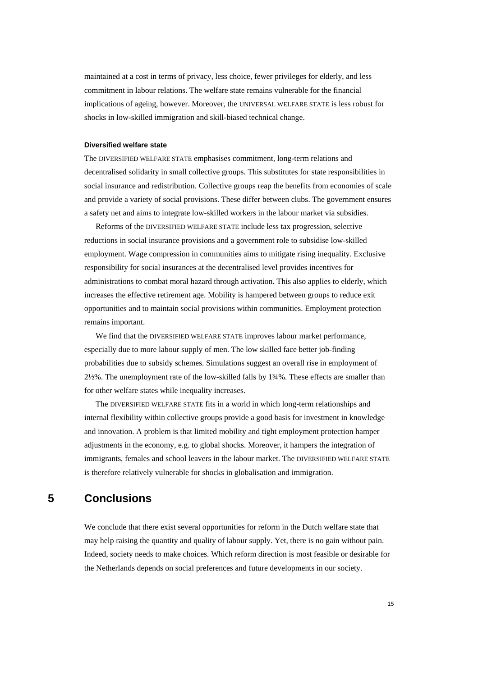maintained at a cost in terms of privacy, less choice, fewer privileges for elderly, and less commitment in labour relations. The welfare state remains vulnerable for the financial implications of ageing, however. Moreover, the UNIVERSAL WELFARE STATE is less robust for shocks in low-skilled immigration and skill-biased technical change.

### **Diversified welfare state**

The DIVERSIFIED WELFARE STATE emphasises commitment, long-term relations and decentralised solidarity in small collective groups. This substitutes for state responsibilities in social insurance and redistribution. Collective groups reap the benefits from economies of scale and provide a variety of social provisions. These differ between clubs. The government ensures a safety net and aims to integrate low-skilled workers in the labour market via subsidies.

Reforms of the DIVERSIFIED WELFARE STATE include less tax progression, selective reductions in social insurance provisions and a government role to subsidise low-skilled employment. Wage compression in communities aims to mitigate rising inequality. Exclusive responsibility for social insurances at the decentralised level provides incentives for administrations to combat moral hazard through activation. This also applies to elderly, which increases the effective retirement age. Mobility is hampered between groups to reduce exit opportunities and to maintain social provisions within communities. Employment protection remains important.

We find that the DIVERSIFIED WELFARE STATE improves labour market performance, especially due to more labour supply of men. The low skilled face better job-finding probabilities due to subsidy schemes. Simulations suggest an overall rise in employment of 2½%. The unemployment rate of the low-skilled falls by 1¾%. These effects are smaller than for other welfare states while inequality increases.

The DIVERSIFIED WELFARE STATE fits in a world in which long-term relationships and internal flexibility within collective groups provide a good basis for investment in knowledge and innovation. A problem is that limited mobility and tight employment protection hamper adjustments in the economy, e.g. to global shocks. Moreover, it hampers the integration of immigrants, females and school leavers in the labour market. The DIVERSIFIED WELFARE STATE is therefore relatively vulnerable for shocks in globalisation and immigration.

## **5 Conclusions**

We conclude that there exist several opportunities for reform in the Dutch welfare state that may help raising the quantity and quality of labour supply. Yet, there is no gain without pain. Indeed, society needs to make choices. Which reform direction is most feasible or desirable for the Netherlands depends on social preferences and future developments in our society.